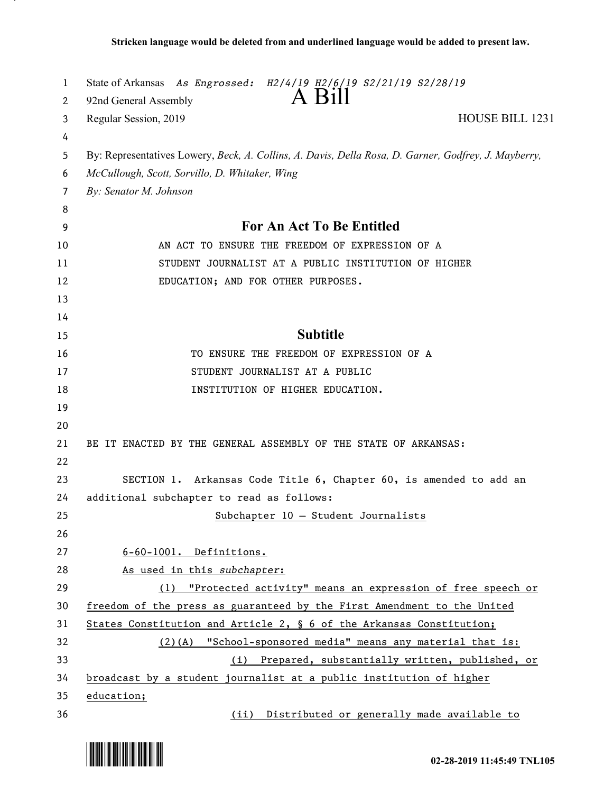| 1              | State of Arkansas As Engrossed: H2/4/19 H2/6/19 S2/21/19 S2/28/19<br>A Bill                          |
|----------------|------------------------------------------------------------------------------------------------------|
| 2<br>3         | 92nd General Assembly<br>HOUSE BILL 1231<br>Regular Session, 2019                                    |
| 4              |                                                                                                      |
| 5              | By: Representatives Lowery, Beck, A. Collins, A. Davis, Della Rosa, D. Garner, Godfrey, J. Mayberry, |
| 6              | McCullough, Scott, Sorvillo, D. Whitaker, Wing                                                       |
| $\overline{7}$ | By: Senator M. Johnson                                                                               |
| 8              |                                                                                                      |
| 9              | <b>For An Act To Be Entitled</b>                                                                     |
| 10             | AN ACT TO ENSURE THE FREEDOM OF EXPRESSION OF A                                                      |
| 11             | STUDENT JOURNALIST AT A PUBLIC INSTITUTION OF HIGHER                                                 |
| 12             | EDUCATION; AND FOR OTHER PURPOSES.                                                                   |
| 13             |                                                                                                      |
| 14             |                                                                                                      |
| 15             | <b>Subtitle</b>                                                                                      |
| 16             | TO ENSURE THE FREEDOM OF EXPRESSION OF A                                                             |
| 17             | STUDENT JOURNALIST AT A PUBLIC                                                                       |
| 18             | INSTITUTION OF HIGHER EDUCATION.                                                                     |
| 19             |                                                                                                      |
| 20             |                                                                                                      |
| 21             | BE IT ENACTED BY THE GENERAL ASSEMBLY OF THE STATE OF ARKANSAS:                                      |
| 22             |                                                                                                      |
| 23             | SECTION 1. Arkansas Code Title 6, Chapter 60, is amended to add an                                   |
| 24             | additional subchapter to read as follows:                                                            |
| 25             | Subchapter 10 - Student Journalists                                                                  |
| 26             |                                                                                                      |
| 27             | 6-60-1001. Definitions.                                                                              |
| 28             | As used in this subchapter:                                                                          |
| 29             | "Protected activity" means an expression of free speech or<br>(1)                                    |
| 30             | freedom of the press as guaranteed by the First Amendment to the United                              |
| 31             | States Constitution and Article 2, $\S$ 6 of the Arkansas Constitution;                              |
| 32             | $(2)$ (A) "School-sponsored media" means any material that is:                                       |
| 33             | (i) Prepared, substantially written, published, or                                                   |
| 34             | broadcast by a student journalist at a public institution of higher                                  |
| 35             | education;                                                                                           |
| 36             | (ii) Distributed or generally made available to                                                      |

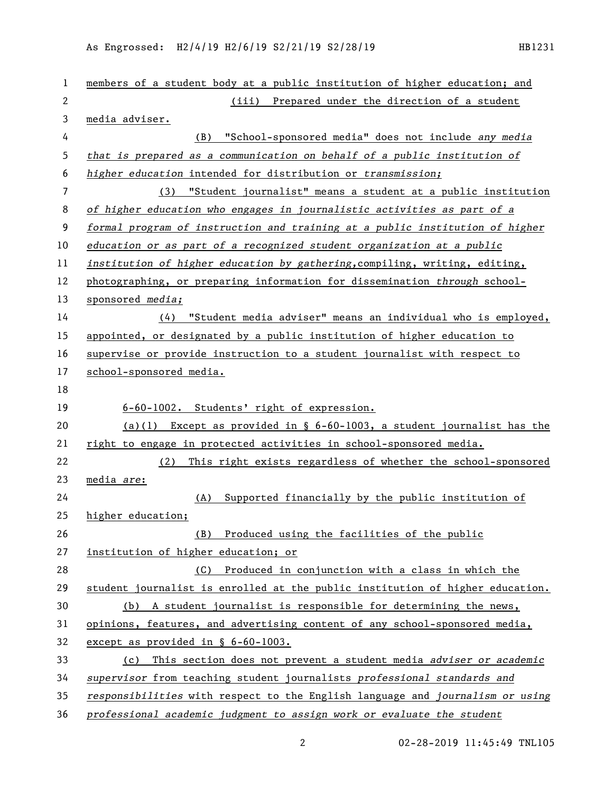As Engrossed: H2/4/19 H2/6/19 S2/21/19 S2/28/19 HB1231

| 1              | members of a student body at a public institution of higher education; and    |
|----------------|-------------------------------------------------------------------------------|
| $\mathbf{2}$   | (iii) Prepared under the direction of a student                               |
| 3              | media adviser.                                                                |
| 4              | "School-sponsored media" does not include any media<br>(B)                    |
| 5              | that is prepared as a communication on behalf of a public institution of      |
| 6              | higher education intended for distribution or transmission;                   |
| $\overline{7}$ | (3) "Student journalist" means a student at a public institution              |
| 8              | of higher education who engages in journalistic activities as part of a       |
| 9              | formal program of instruction and training at a public institution of higher  |
| 10             | education or as part of a recognized student organization at a public         |
| 11             | institution of higher education by gathering, compiling, writing, editing,    |
| 12             | photographing, or preparing information for dissemination through school-     |
| 13             | sponsored media;                                                              |
| 14             | (4) "Student media adviser" means an individual who is employed,              |
| 15             | appointed, or designated by a public institution of higher education to       |
| 16             | supervise or provide instruction to a student journalist with respect to      |
| 17             | school-sponsored media.                                                       |
| 18             |                                                                               |
| 19             | 6-60-1002. Students' right of expression.                                     |
| 20             | (a)(1) Except as provided in $\S$ 6-60-1003, a student journalist has the     |
| 21             | right to engage in protected activities in school-sponsored media.            |
| 22             | This right exists regardless of whether the school-sponsored<br>(2)           |
| 23             | media are:                                                                    |
| 24             | Supported financially by the public institution of<br>(A)                     |
| 25             | higher education;                                                             |
| 26             | (B) Produced using the facilities of the public                               |
| 27             | institution of higher education; or                                           |
| 28             | Produced in conjunction with a class in which the<br>(C)                      |
| 29             | student journalist is enrolled at the public institution of higher education. |
| 30             | (b) A student journalist is responsible for determining the news,             |
| 31             | opinions, features, and advertising content of any school-sponsored media,    |
| 32             | except as provided in § 6-60-1003.                                            |
| 33             | (c) This section does not prevent a student media adviser or academic         |
| 34             | supervisor from teaching student journalists professional standards and       |
| 35             | responsibilities with respect to the English language and journalism or using |
| 36             | professional academic judgment to assign work or evaluate the student         |

02-28-2019 11:45:49 TNL105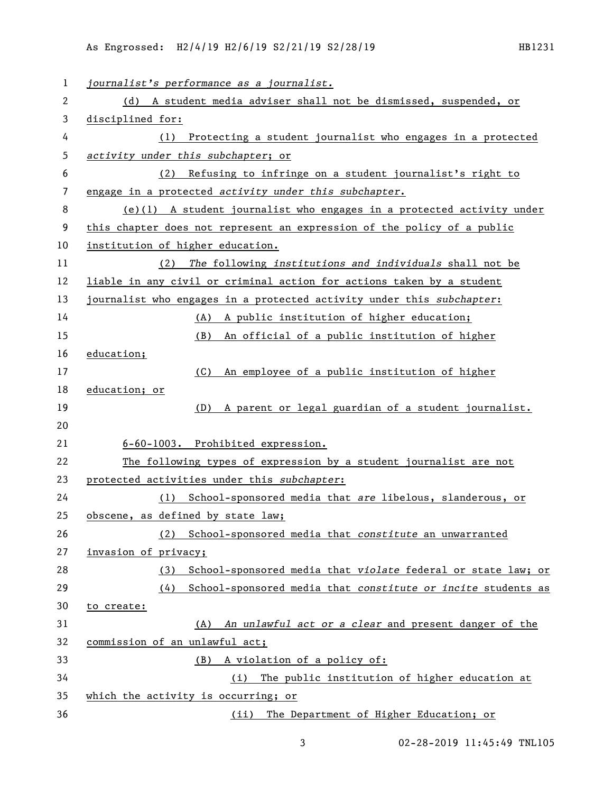| $\mathbf{1}$ | journalist's performance as a journalist.                               |
|--------------|-------------------------------------------------------------------------|
| 2            | (d) A student media adviser shall not be dismissed, suspended, or       |
| 3            | disciplined for:                                                        |
| 4            | Protecting a student journalist who engages in a protected<br>(1)       |
| 5            | activity under this subchapter; or                                      |
| 6            | Refusing to infringe on a student journalist's right to<br>(2)          |
| 7            | engage in a protected activity under this subchapter.                   |
| 8            | (e)(1) A student journalist who engages in a protected activity under   |
| 9            | this chapter does not represent an expression of the policy of a public |
| 10           | institution of higher education.                                        |
| 11           | The following institutions and individuals shall not be<br>(2)          |
| 12           | liable in any civil or criminal action for actions taken by a student   |
| 13           | journalist who engages in a protected activity under this subchapter:   |
| 14           | A public institution of higher education;<br>(A)                        |
| 15           | An official of a public institution of higher<br>(B)                    |
| 16           | education;                                                              |
| 17           | (C)<br>An employee of a public institution of higher                    |
| 18           | education; or                                                           |
| 19           | A parent or legal guardian of a student journalist.<br>(D)              |
| 20           |                                                                         |
| 21           | 6-60-1003. Prohibited expression.                                       |
| 22           | The following types of expression by a student journalist are not       |
| 23           | protected activities under this subchapter:                             |
| 24           | (1) School-sponsored media that are libelous, slanderous, or            |
| 25           | obscene, as defined by state law;                                       |
| 26           | School-sponsored media that constitute an unwarranted<br>(2)            |
| 27           | invasion of privacy;                                                    |
| 28           | School-sponsored media that violate federal or state law; or<br>(3)     |
| 29           | School-sponsored media that constitute or incite students as<br>(4)     |
| 30           | to create:                                                              |
| 31           | An unlawful act or a clear and present danger of the<br>(A)             |
| 32           | commission of an unlawful act;                                          |
| 33           | A violation of a policy of:<br>(B)                                      |
| 34           | The public institution of higher education at<br>(i)                    |
| 35           | which the activity is occurring; or                                     |
| 36           | The Department of Higher Education; or<br>(ii)                          |

02-28-2019 11:45:49 TNL105